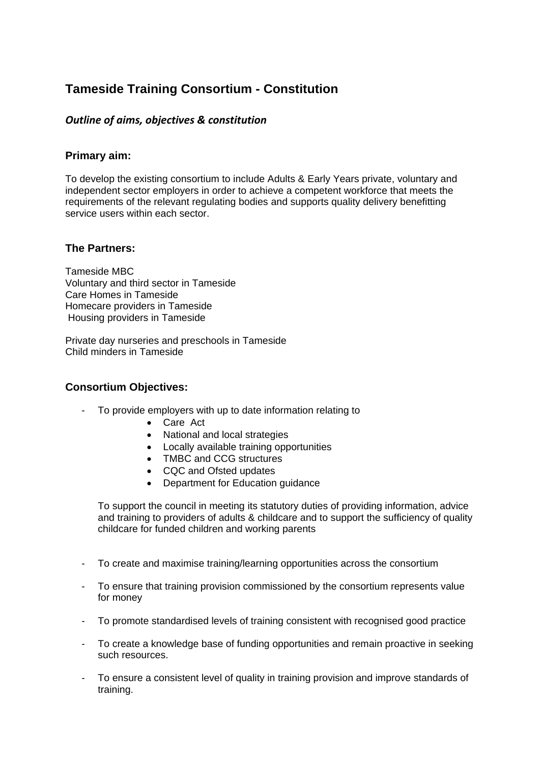# **Tameside Training Consortium - Constitution**

## *Outline of aims, objectives & constitution*

## **Primary aim:**

To develop the existing consortium to include Adults & Early Years private, voluntary and independent sector employers in order to achieve a competent workforce that meets the requirements of the relevant regulating bodies and supports quality delivery benefitting service users within each sector.

## **The Partners:**

Tameside MBC Voluntary and third sector in Tameside Care Homes in Tameside Homecare providers in Tameside Housing providers in Tameside

Private day nurseries and preschools in Tameside Child minders in Tameside

### **Consortium Objectives:**

- To provide employers with up to date information relating to
	- Care Act
	- National and local strategies
	- Locally available training opportunities
	- TMBC and CCG structures
	- CQC and Ofsted updates
	- Department for Education guidance

To support the council in meeting its statutory duties of providing information, advice and training to providers of adults & childcare and to support the sufficiency of quality childcare for funded children and working parents

- To create and maximise training/learning opportunities across the consortium
- To ensure that training provision commissioned by the consortium represents value for money
- To promote standardised levels of training consistent with recognised good practice
- To create a knowledge base of funding opportunities and remain proactive in seeking such resources.
- To ensure a consistent level of quality in training provision and improve standards of training.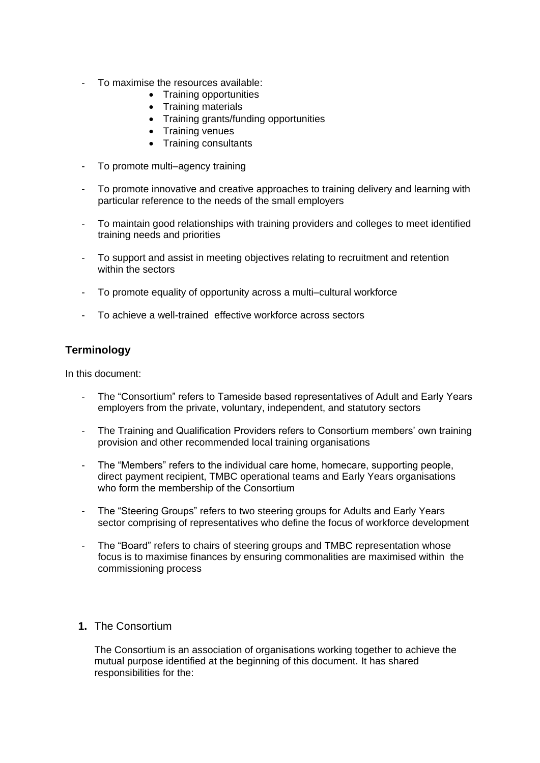- To maximise the resources available:
	- Training opportunities
	- Training materials
	- Training grants/funding opportunities
	- Training venues
	- Training consultants
- To promote multi–agency training
- To promote innovative and creative approaches to training delivery and learning with particular reference to the needs of the small employers
- To maintain good relationships with training providers and colleges to meet identified training needs and priorities
- To support and assist in meeting objectives relating to recruitment and retention within the sectors
- To promote equality of opportunity across a multi–cultural workforce
- To achieve a well-trained effective workforce across sectors

# **Terminology**

In this document:

- The "Consortium" refers to Tameside based representatives of Adult and Early Years employers from the private, voluntary, independent, and statutory sectors
- The Training and Qualification Providers refers to Consortium members' own training provision and other recommended local training organisations
- The "Members" refers to the individual care home, homecare, supporting people, direct payment recipient, TMBC operational teams and Early Years organisations who form the membership of the Consortium
- The "Steering Groups" refers to two steering groups for Adults and Early Years sector comprising of representatives who define the focus of workforce development
- The "Board" refers to chairs of steering groups and TMBC representation whose focus is to maximise finances by ensuring commonalities are maximised within the commissioning process

## **1.** The Consortium

The Consortium is an association of organisations working together to achieve the mutual purpose identified at the beginning of this document. It has shared responsibilities for the: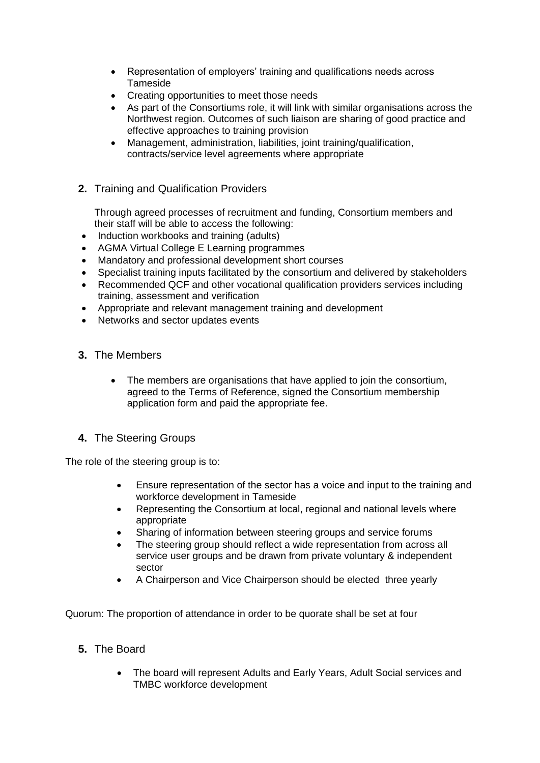- Representation of employers' training and qualifications needs across Tameside
- Creating opportunities to meet those needs
- As part of the Consortiums role, it will link with similar organisations across the Northwest region. Outcomes of such liaison are sharing of good practice and effective approaches to training provision
- Management, administration, liabilities, joint training/qualification, contracts/service level agreements where appropriate
- **2.** Training and Qualification Providers

Through agreed processes of recruitment and funding, Consortium members and their staff will be able to access the following:

- Induction workbooks and training (adults)
- AGMA Virtual College E Learning programmes
- Mandatory and professional development short courses
- Specialist training inputs facilitated by the consortium and delivered by stakeholders
- Recommended QCF and other vocational qualification providers services including training, assessment and verification
- Appropriate and relevant management training and development
- Networks and sector updates events
- **3.** The Members
	- The members are organisations that have applied to join the consortium, agreed to the Terms of Reference, signed the Consortium membership application form and paid the appropriate fee.
- **4.** The Steering Groups

The role of the steering group is to:

- Ensure representation of the sector has a voice and input to the training and workforce development in Tameside
- Representing the Consortium at local, regional and national levels where appropriate
- Sharing of information between steering groups and service forums
- The steering group should reflect a wide representation from across all service user groups and be drawn from private voluntary & independent sector
- A Chairperson and Vice Chairperson should be elected three yearly

Quorum: The proportion of attendance in order to be quorate shall be set at four

# **5.** The Board

• The board will represent Adults and Early Years, Adult Social services and TMBC workforce development